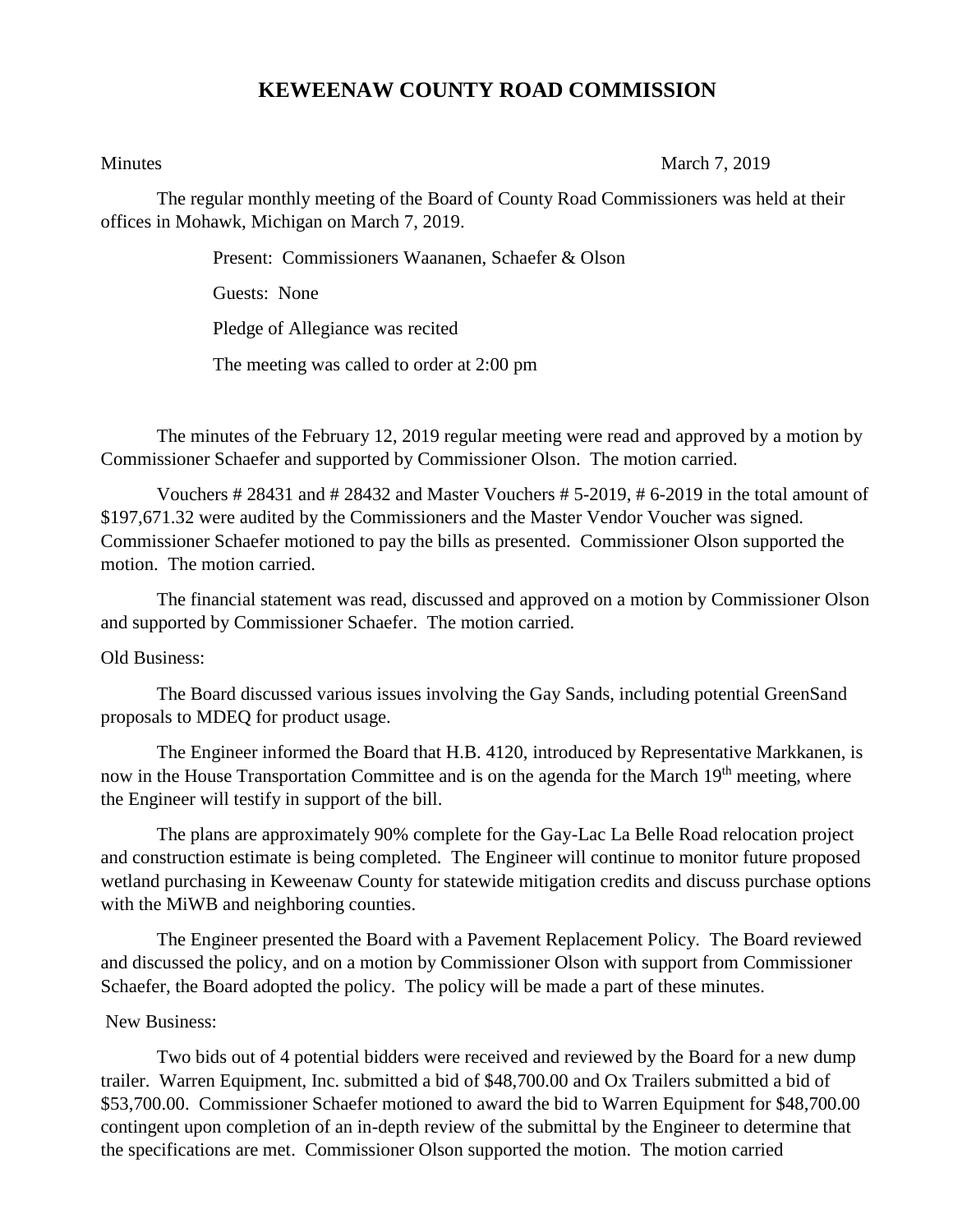## **KEWEENAW COUNTY ROAD COMMISSION**

Minutes March 7, 2019

The regular monthly meeting of the Board of County Road Commissioners was held at their offices in Mohawk, Michigan on March 7, 2019.

Present: Commissioners Waananen, Schaefer & Olson

Guests: None

Pledge of Allegiance was recited

The meeting was called to order at 2:00 pm

The minutes of the February 12, 2019 regular meeting were read and approved by a motion by Commissioner Schaefer and supported by Commissioner Olson. The motion carried.

Vouchers # 28431 and # 28432 and Master Vouchers # 5-2019, # 6-2019 in the total amount of \$197,671.32 were audited by the Commissioners and the Master Vendor Voucher was signed. Commissioner Schaefer motioned to pay the bills as presented. Commissioner Olson supported the motion. The motion carried.

The financial statement was read, discussed and approved on a motion by Commissioner Olson and supported by Commissioner Schaefer. The motion carried.

## Old Business:

The Board discussed various issues involving the Gay Sands, including potential GreenSand proposals to MDEQ for product usage.

The Engineer informed the Board that H.B. 4120, introduced by Representative Markkanen, is now in the House Transportation Committee and is on the agenda for the March 19<sup>th</sup> meeting, where the Engineer will testify in support of the bill.

The plans are approximately 90% complete for the Gay-Lac La Belle Road relocation project and construction estimate is being completed. The Engineer will continue to monitor future proposed wetland purchasing in Keweenaw County for statewide mitigation credits and discuss purchase options with the MiWB and neighboring counties.

The Engineer presented the Board with a Pavement Replacement Policy. The Board reviewed and discussed the policy, and on a motion by Commissioner Olson with support from Commissioner Schaefer, the Board adopted the policy. The policy will be made a part of these minutes.

## New Business:

Two bids out of 4 potential bidders were received and reviewed by the Board for a new dump trailer. Warren Equipment, Inc. submitted a bid of \$48,700.00 and Ox Trailers submitted a bid of \$53,700.00. Commissioner Schaefer motioned to award the bid to Warren Equipment for \$48,700.00 contingent upon completion of an in-depth review of the submittal by the Engineer to determine that the specifications are met. Commissioner Olson supported the motion. The motion carried